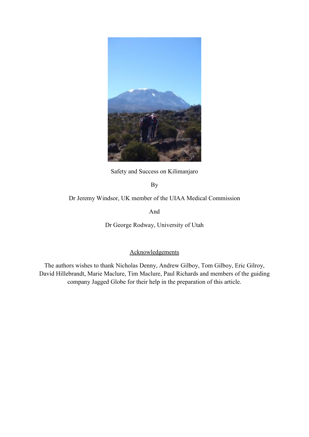

Safety and Success on Kilimanjaro

By

Dr Jeremy Windsor, UK member of the UIAA Medical Commission

And

Dr George Rodway, University of Utah

## Acknowledgements

The authors wishes to thank Nicholas Denny, Andrew Gilboy, Tom Gilboy, Eric Gilroy, David Hillebrandt, Marie Maclure, Tim Maclure, Paul Richards and members of the guiding company Jagged Globe for their help in the preparation of this article.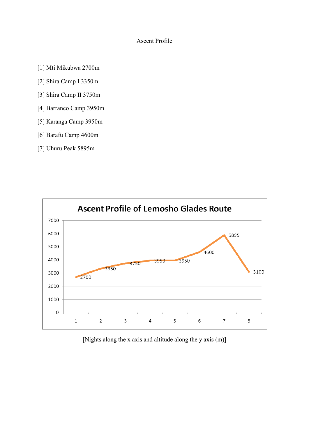## Ascent Profile

[1] Mti Mikubwa 2700m

[2] Shira Camp I 3350m

[3] Shira Camp II 3750m

- [4] Barranco Camp 3950m
- [5] Karanga Camp 3950m
- [6] Barafu Camp 4600m
- [7] Uhuru Peak 5895m



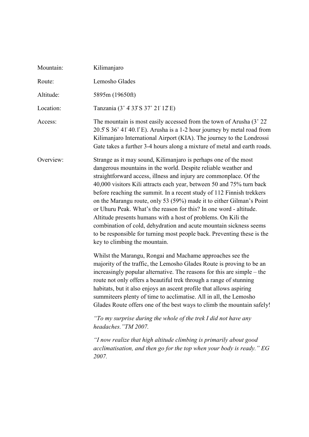| Mountain: | Kilimanjaro                                                                                                                                                                                                                                                                                                                                                                                                                                                                                                                                                                                                                                                                                                                                                   |
|-----------|---------------------------------------------------------------------------------------------------------------------------------------------------------------------------------------------------------------------------------------------------------------------------------------------------------------------------------------------------------------------------------------------------------------------------------------------------------------------------------------------------------------------------------------------------------------------------------------------------------------------------------------------------------------------------------------------------------------------------------------------------------------|
| Route:    | Lemosho Glades                                                                                                                                                                                                                                                                                                                                                                                                                                                                                                                                                                                                                                                                                                                                                |
| Altitude: | 5895m (19650ft)                                                                                                                                                                                                                                                                                                                                                                                                                                                                                                                                                                                                                                                                                                                                               |
| Location: | Tanzania (3° 4'33" S 37° 21' 12" E)                                                                                                                                                                                                                                                                                                                                                                                                                                                                                                                                                                                                                                                                                                                           |
| Access:   | The mountain is most easily accessed from the town of Arusha $(3^{\circ} 22)$<br>20.5' S 36° 41' 40.1" E). Arusha is a 1-2 hour journey by metal road from<br>Kilimanjaro International Airport (KIA). The journey to the Londrossi<br>Gate takes a further 3-4 hours along a mixture of metal and earth roads.                                                                                                                                                                                                                                                                                                                                                                                                                                               |
| Overview: | Strange as it may sound, Kilimanjaro is perhaps one of the most<br>dangerous mountains in the world. Despite reliable weather and<br>straightforward access, illness and injury are commonplace. Of the<br>40,000 visitors Kili attracts each year, between 50 and 75% turn back<br>before reaching the summit. In a recent study of 112 Finnish trekkers<br>on the Marangu route, only 53 (59%) made it to either Gilman's Point<br>or Uhuru Peak. What's the reason for this? In one word - altitude.<br>Altitude presents humans with a host of problems. On Kili the<br>combination of cold, dehydration and acute mountain sickness seems<br>to be responsible for turning most people back. Preventing these is the<br>key to climbing the mountain.    |
|           | Whilst the Marangu, Rongai and Machame approaches see the<br>majority of the traffic, the Lemosho Glades Route is proving to be an<br>increasingly popular alternative. The reasons for this are simple – the<br>route not only offers a beautiful trek through a range of stunning<br>habitats, but it also enjoys an ascent profile that allows aspiring<br>summitteers plenty of time to acclimatise. All in all, the Lemosho<br>Glades Route offers one of the best ways to climb the mountain safely!<br>"To my surprise during the whole of the trek I did not have any<br>headaches. "TM 2007.<br>"I now realize that high altitude climbing is primarily about good<br>acclimatisation, and then go for the top when your body is ready." EG<br>2007. |
|           |                                                                                                                                                                                                                                                                                                                                                                                                                                                                                                                                                                                                                                                                                                                                                               |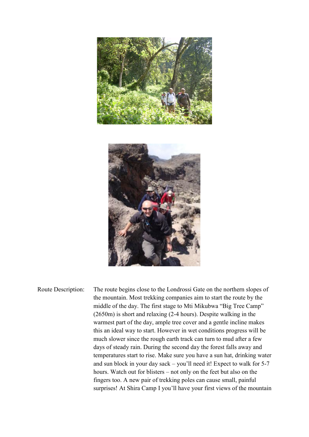

Route Description: The route begins close to the Londrossi Gate on the northern slopes of the mountain. Most trekking companies aim to start the route by the middle of the day. The first stage to Mti Mikubwa "Big Tree Camp" (2650m) is short and relaxing (2-4 hours). Despite walking in the warmest part of the day, ample tree cover and a gentle incline makes this an ideal way to start. However in wet conditions progress will be much slower since the rough earth track can turn to mud after a few days of steady rain. During the second day the forest falls away and temperatures start to rise. Make sure you have a sun hat, drinking water and sun block in your day sack – you'll need it! Expect to walk for 5-7 hours. Watch out for blisters – not only on the feet but also on the fingers too. A new pair of trekking poles can cause small, painful surprises! At Shira Camp I you'll have your first views of the mountain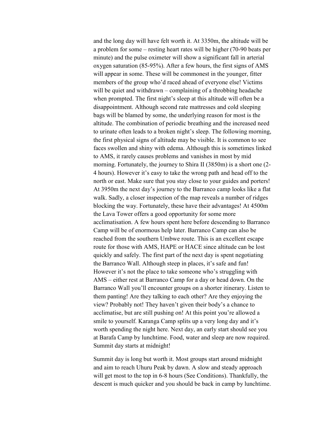and the long day will have felt worth it. At 3350m, the altitude will be a problem for some – resting heart rates will be higher (70-90 beats per minute) and the pulse oximeter will show a significant fall in arterial oxygen saturation (85-95%). After a few hours, the first signs of AMS will appear in some. These will be commonest in the younger, fitter members of the group who'd raced ahead of everyone else! Victims will be quiet and withdrawn – complaining of a throbbing headache when prompted. The first night's sleep at this altitude will often be a disappointment. Although second rate mattresses and cold sleeping bags will be blamed by some, the underlying reason for most is the altitude. The combination of periodic breathing and the increased need to urinate often leads to a broken night's sleep. The following morning, the first physical signs of altitude may be visible. It is common to see faces swollen and shiny with edema. Although this is sometimes linked to AMS, it rarely causes problems and vanishes in most by mid morning. Fortunately, the journey to Shira II (3850m) is a short one (2- 4 hours). However it's easy to take the wrong path and head off to the north or east. Make sure that you stay close to your guides and porters! At 3950m the next day's journey to the Barranco camp looks like a flat walk. Sadly, a closer inspection of the map reveals a number of ridges blocking the way. Fortunately, these have their advantages! At 4500m the Lava Tower offers a good opportunity for some more acclimatisation. A few hours spent here before descending to Barranco Camp will be of enormous help later. Barranco Camp can also be reached from the southern Umbwe route. This is an excellent escape route for those with AMS, HAPE or HACE since altitude can be lost quickly and safely. The first part of the next day is spent negotiating the Barranco Wall. Although steep in places, it's safe and fun! However it's not the place to take someone who's struggling with AMS – either rest at Barranco Camp for a day or head down. On the Barranco Wall you'll encounter groups on a shorter itinerary. Listen to them panting! Are they talking to each other? Are they enjoying the view? Probably not! They haven't given their body's a chance to acclimatise, but are still pushing on! At this point you're allowed a smile to yourself. Karanga Camp splits up a very long day and it's worth spending the night here. Next day, an early start should see you at Barafa Camp by lunchtime. Food, water and sleep are now required. Summit day starts at midnight!

 Summit day is long but worth it. Most groups start around midnight and aim to reach Uhuru Peak by dawn. A slow and steady approach will get most to the top in 6-8 hours (See Conditions). Thankfully, the descent is much quicker and you should be back in camp by lunchtime.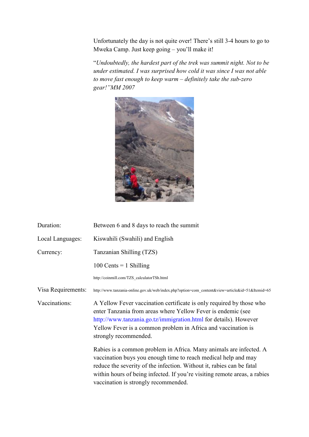Unfortunately the day is not quite over! There's still 3-4 hours to go to Mweka Camp. Just keep going – you'll make it!

"Undoubtedly, the hardest part of the trek was summit night. Not to be *under estimated. I was surprised how cold it was since I was not able to move fast enough to keep warm – definitely take the sub-zero gear!"MM 2007* 



| Duration:          | Between 6 and 8 days to reach the summit                                                                                                                                                                                                                                                                                           |
|--------------------|------------------------------------------------------------------------------------------------------------------------------------------------------------------------------------------------------------------------------------------------------------------------------------------------------------------------------------|
| Local Languages:   | Kiswahili (Swahili) and English                                                                                                                                                                                                                                                                                                    |
| Currency:          | Tanzanian Shilling (TZS)                                                                                                                                                                                                                                                                                                           |
|                    | 100 Cents $= 1$ Shilling                                                                                                                                                                                                                                                                                                           |
|                    | http://coinmill.com/TZS_calculatorTSh.html                                                                                                                                                                                                                                                                                         |
| Visa Requirements: | http://www.tanzania-online.gov.uk/web/index.php?option=com_content&view=article&id=51&Itemid=65                                                                                                                                                                                                                                    |
| Vaccinations:      | A Yellow Fever vaccination certificate is only required by those who<br>enter Tanzania from areas where Yellow Fever is endemic (see<br>http://www.tanzania.go.tz/immigration.html for details). However<br>Yellow Fever is a common problem in Africa and vaccination is<br>strongly recommended.                                 |
|                    | Rabies is a common problem in Africa. Many animals are infected. A<br>vaccination buys you enough time to reach medical help and may<br>reduce the severity of the infection. Without it, rabies can be fatal<br>within hours of being infected. If you're visiting remote areas, a rabies<br>vaccination is strongly recommended. |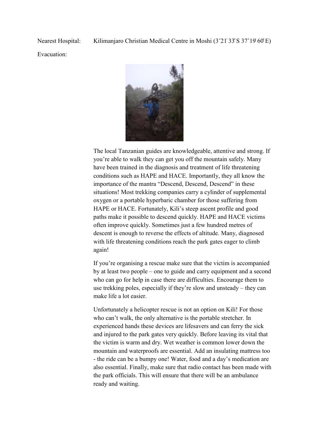Evacuation:



The local Tanzanian guides are knowledgeable, attentive and strong. If you're able to walk they can get you off the mountain safely. Many have been trained in the diagnosis and treatment of life threatening conditions such as HAPE and HACE. Importantly, they all know the importance of the mantra "Descend, Descend, Descend" in these situations! Most trekking companies carry a cylinder of supplemental oxygen or a portable hyperbaric chamber for those suffering from HAPE or HACE. Fortunately, Kili's steep ascent profile and good paths make it possible to descend quickly. HAPE and HACE victims often improve quickly. Sometimes just a few hundred metres of descent is enough to reverse the effects of altitude. Many, diagnosed with life threatening conditions reach the park gates eager to climb again!

If you're organising a rescue make sure that the victim is accompanied by at least two people – one to guide and carry equipment and a second who can go for help in case there are difficulties. Encourage them to use trekking poles, especially if they're slow and unsteady – they can make life a lot easier.

Unfortunately a helicopter rescue is not an option on Kili! For those who can't walk, the only alternative is the portable stretcher. In experienced hands these devices are lifesavers and can ferry the sick and injured to the park gates very quickly. Before leaving its vital that the victim is warm and dry. Wet weather is common lower down the mountain and waterproofs are essential. Add an insulating mattress too - the ride can be a bumpy one! Water, food and a day's medication are also essential. Finally, make sure that radio contact has been made with the park officials. This will ensure that there will be an ambulance ready and waiting.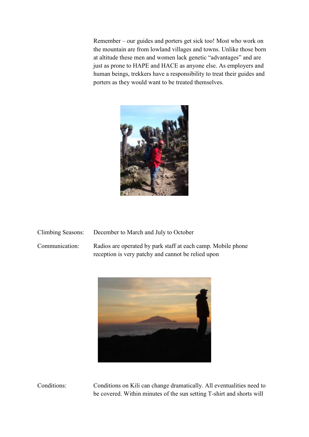Remember – our guides and porters get sick too! Most who work on the mountain are from lowland villages and towns. Unlike those born at altitude these men and women lack genetic "advantages" and are just as prone to HAPE and HACE as anyone else. As employers and human beings, trekkers have a responsibility to treat their guides and porters as they would want to be treated themselves.



| Climbing Seasons: | December to March and July to October                        |
|-------------------|--------------------------------------------------------------|
| Communication:    | Radios are operated by park staff at each camp. Mobile phone |
|                   | reception is very patchy and cannot be relied upon           |



Conditions: Conditions on Kili can change dramatically. All eventualities need to be covered. Within minutes of the sun setting T-shirt and shorts will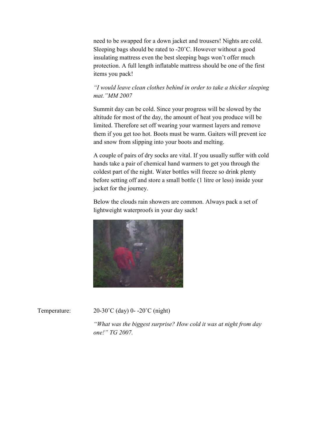need to be swapped for a down jacket and trousers! Nights are cold. Sleeping bags should be rated to -20˚C. However without a good insulating mattress even the best sleeping bags won't offer much protection. A full length inflatable mattress should be one of the first items you pack!

# *"I would leave clean clothes behind in order to take a thicker sleeping mat."MM 2007*

Summit day can be cold. Since your progress will be slowed by the altitude for most of the day, the amount of heat you produce will be limited. Therefore set off wearing your warmest layers and remove them if you get too hot. Boots must be warm. Gaiters will prevent ice and snow from slipping into your boots and melting.

A couple of pairs of dry socks are vital. If you usually suffer with cold hands take a pair of chemical hand warmers to get you through the coldest part of the night. Water bottles will freeze so drink plenty before setting off and store a small bottle (1 litre or less) inside your jacket for the journey.

Below the clouds rain showers are common. Always pack a set of lightweight waterproofs in your day sack!



Temperature:  $20-30^{\circ}C$  (day)  $0-20^{\circ}C$  (night)

*"What was the biggest surprise? How cold it was at night from day one!" TG 2007.*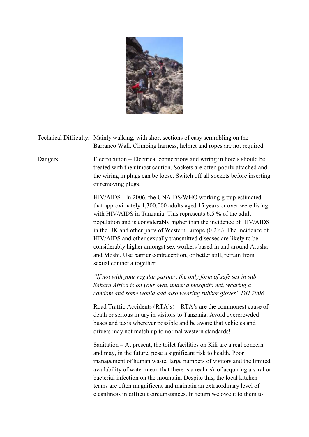

Technical Difficulty: Mainly walking, with short sections of easy scrambling on the Barranco Wall. Climbing harness, helmet and ropes are not required.

Dangers: Electrocution – Electrical connections and wiring in hotels should be treated with the utmost caution. Sockets are often poorly attached and the wiring in plugs can be loose. Switch off all sockets before inserting or removing plugs.

> HIV/AIDS - In 2006, the UNAIDS/WHO working group estimated that approximately 1,300,000 adults aged 15 years or over were living with HIV/AIDS in Tanzania. This represents 6.5 % of the adult population and is considerably higher than the incidence of HIV/AIDS in the UK and other parts of Western Europe (0.2%). The incidence of HIV/AIDS and other sexually transmitted diseases are likely to be considerably higher amongst sex workers based in and around Arusha and Moshi. Use barrier contraception, or better still, refrain from sexual contact altogether.

*"If not with your regular partner, the only form of safe sex in sub Sahara Africa is on your own, under a mosquito net, wearing a condom and some would add also wearing rubber gloves" DH 2008.* 

Road Traffic Accidents (RTA's) – RTA's are the commonest cause of death or serious injury in visitors to Tanzania. Avoid overcrowded buses and taxis wherever possible and be aware that vehicles and drivers may not match up to normal western standards!

Sanitation – At present, the toilet facilities on Kili are a real concern and may, in the future, pose a significant risk to health. Poor management of human waste, large numbers of visitors and the limited availability of water mean that there is a real risk of acquiring a viral or bacterial infection on the mountain. Despite this, the local kitchen teams are often magnificent and maintain an extraordinary level of cleanliness in difficult circumstances. In return we owe it to them to